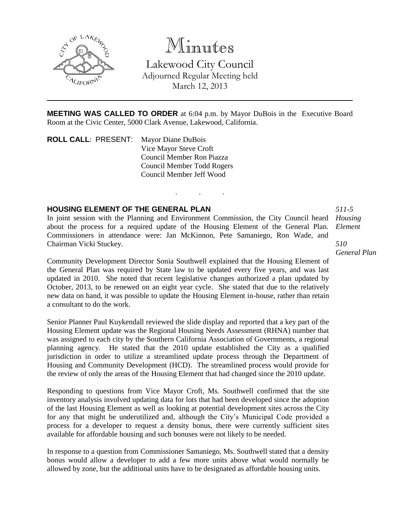

# Minutes

Lakewood City Council Adjourned Regular Meeting held March 12, 2013

**MEETING WAS CALLED TO ORDER** at 6:04 p.m. by Mayor DuBois in the Executive Board Room at the Civic Center, 5000 Clark Avenue, Lakewood, California.

. . .

**ROLL CALL**: PRESENT: Mayor Diane DuBois Vice Mayor Steve Croft Council Member Ron Piazza Council Member Todd Rogers Council Member Jeff Wood

## **HOUSING ELEMENT OF THE GENERAL PLAN**

In joint session with the Planning and Environment Commission, the City Council heard about the process for a required update of the Housing Element of the General Plan. Commissioners in attendance were: Jan McKinnon, Pete Samaniego, Ron Wade, and Chairman Vicki Stuckey.

*Housing Element*

*511-5*

#### *510 General Plan*

Community Development Director Sonia Southwell explained that the Housing Element of the General Plan was required by State law to be updated every five years, and was last updated in 2010. She noted that recent legislative changes authorized a plan updated by October, 2013, to be renewed on an eight year cycle. She stated that due to the relatively new data on hand, it was possible to update the Housing Element in-house, rather than retain a consultant to do the work.

Senior Planner Paul Kuykendall reviewed the slide display and reported that a key part of the Housing Element update was the Regional Housing Needs Assessment (RHNA) number that was assigned to each city by the Southern California Association of Governments, a regional planning agency. He stated that the 2010 update established the City as a qualified jurisdiction in order to utilize a streamlined update process through the Department of Housing and Community Development (HCD). The streamlined process would provide for the review of only the areas of the Housing Element that had changed since the 2010 update.

Responding to questions from Vice Mayor Croft, Ms. Southwell confirmed that the site inventory analysis involved updating data for lots that had been developed since the adoption of the last Housing Element as well as looking at potential development sites across the City for any that might be underutilized and, although the City's Municipal Code provided a process for a developer to request a density bonus, there were currently sufficient sites available for affordable housing and such bonuses were not likely to be needed.

In response to a question from Commissioner Samaniego, Ms. Southwell stated that a density bonus would allow a developer to add a few more units above what would normally be allowed by zone, but the additional units have to be designated as affordable housing units.